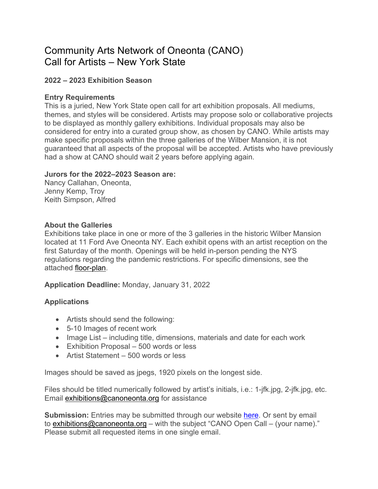# Community Arts Network of Oneonta (CANO) Call for Artists – New York State

## **2022 – 2023 Exhibition Season**

#### **Entry Requirements**

This is a juried, New York State open call for art exhibition proposals. All mediums, themes, and styles will be considered. Artists may propose solo or collaborative projects to be displayed as monthly gallery exhibitions. Individual proposals may also be considered for entry into a curated group show, as chosen by CANO. While artists may make specific proposals within the three galleries of the Wilber Mansion, it is not guaranteed that all aspects of the proposal will be accepted. Artists who have previously had a show at CANO should wait 2 years before applying again.

## **Jurors for the 2022–2023 Season are:**

Nancy Callahan, Oneonta, Jenny Kemp, Troy Keith Simpson, Alfred

## **About the Galleries**

Exhibitions take place in one or more of the 3 galleries in the historic Wilber Mansion located at 11 Ford Ave Oneonta NY. Each exhibit opens with an artist reception on the first Saturday of the month. Openings will be held in-person pending the NYS regulations regarding the pandemic restrictions. For specific dimensions, see the attached floor-plan.

## **Application Deadline:** Monday, January 31, 2022

## **Applications**

- Artists should send the following:
- 5-10 Images of recent work
- Image List including title, dimensions, materials and date for each work
- Exhibition Proposal 500 words or less
- Artist Statement 500 words or less

Images should be saved as jpegs, 1920 pixels on the longest side.

Files should be titled numerically followed by artist's initials, i.e.: 1-jfk.jpg, 2-jfk.jpg, etc. Email exhibitions@canoneonta.org for assistance

**Submission:** Entries may be submitted through our website here. Or sent by email to exhibitions@canoneonta.org – with the subject "CANO Open Call – (your name)." Please submit all requested items in one single email.